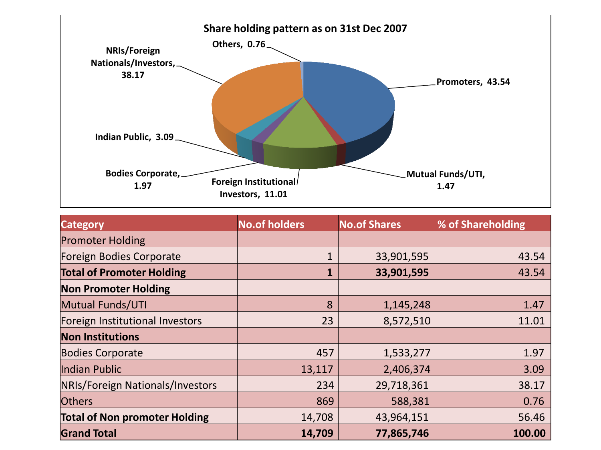

| <b>Category</b>                      | <b>No.of holders</b> | <b>No.of Shares</b> | % of Shareholding |
|--------------------------------------|----------------------|---------------------|-------------------|
| <b>Promoter Holding</b>              |                      |                     |                   |
| <b>Foreign Bodies Corporate</b>      | $\mathbf{1}$         | 33,901,595          | 43.54             |
| <b>Total of Promoter Holding</b>     |                      | 33,901,595          | 43.54             |
| <b>Non Promoter Holding</b>          |                      |                     |                   |
| <b>Mutual Funds/UTI</b>              | 8                    | 1,145,248           | 1.47              |
| Foreign Institutional Investors      | 23                   | 8,572,510           | 11.01             |
| <b>Non Institutions</b>              |                      |                     |                   |
| <b>Bodies Corporate</b>              | 457                  | 1,533,277           | 1.97              |
| Indian Public                        | 13,117               | 2,406,374           | 3.09              |
| NRIs/Foreign Nationals/Investors     | 234                  | 29,718,361          | 38.17             |
| <b>Others</b>                        | 869                  | 588,381             | 0.76              |
| <b>Total of Non promoter Holding</b> | 14,708               | 43,964,151          | 56.46             |
| <b>Grand Total</b>                   | 14,709               | 77,865,746          | 100.00            |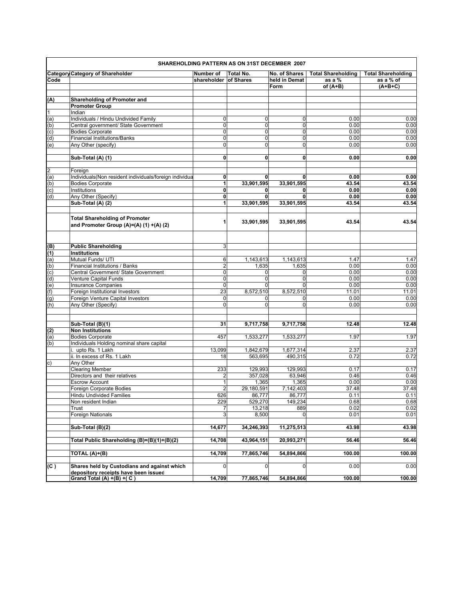|                |                                                          |                         | SHAREHOLDING PATTERN AS ON 31ST DECEMBER 2007 |                |                           |                           |
|----------------|----------------------------------------------------------|-------------------------|-----------------------------------------------|----------------|---------------------------|---------------------------|
|                | <b>Category Category of Shareholder</b>                  | Number of               | Total No.                                     | No. of Shares  | <b>Total Shareholding</b> | <b>Total Shareholding</b> |
| Code           |                                                          | shareholder of Shares   |                                               | held in Demat  | as a %                    | as a % of                 |
|                |                                                          |                         |                                               | Form           | of $(A+B)$                | $(A+B+C)$                 |
|                | Shareholding of Promoter and                             |                         |                                               |                |                           |                           |
| (A)            | <b>Promoter Group</b>                                    |                         |                                               |                |                           |                           |
| $\mathbf{1}$   | Indian                                                   |                         |                                               |                |                           |                           |
| (a)            | Individuals / Hindu Undivided Family                     | 0                       | $\overline{0}$                                | $\Omega$       | 0.00                      | 0.00                      |
| (b)            | Central government/ State Government                     | $\mathbf 0$             | $\mathbf 0$                                   | $\Omega$       | 0.00                      | 0.00                      |
| (c)            | <b>Bodies Corporate</b>                                  | $\mathbf 0$             | $\overline{0}$                                | $\overline{0}$ | 0.00                      | 0.00                      |
| (d)            | <b>Financial Institutions/Banks</b>                      | $\mathbf 0$             | $\Omega$                                      | $\overline{0}$ | 0.00                      | 0.00                      |
| (e)            | Any Other (specify)                                      | 0                       | $\mathbf 0$                                   | $\Omega$       | 0.00                      | 0.00                      |
|                |                                                          |                         |                                               |                |                           |                           |
|                | Sub-Total (A) (1)                                        | 0                       | $\mathbf{0}$                                  | $\bf{0}$       | 0.00                      | 0.00                      |
|                |                                                          |                         |                                               |                |                           |                           |
| $\overline{c}$ | Foreign                                                  |                         |                                               |                |                           |                           |
| (a)            | Individuals (Non resident individuals/foreign individual | 0                       | $\mathbf 0$                                   | $\mathbf 0$    | 0.00                      | 0.00                      |
| (b)            | <b>Bodies Corporate</b>                                  | 1                       | 33,901,595                                    | 33,901,595     | 43.54                     | 43.54                     |
| (c)<br>(d)     | Institutions<br>Any Other (Specify)                      | 0<br>0                  | 0<br>$\mathbf{0}$                             | $\mathbf{0}$   | 0.00<br>0.00              | 0.00<br>0.00              |
|                | Sub-Total (A) (2)                                        |                         | 33,901,595                                    | 33,901,595     | 43.54                     | 43.54                     |
|                |                                                          |                         |                                               |                |                           |                           |
|                | <b>Total Shareholding of Promoter</b>                    |                         |                                               |                |                           |                           |
|                | and Promoter Group (A)=(A) (1) +(A) (2)                  | 1                       | 33,901,595                                    | 33,901,595     | 43.54                     | 43.54                     |
|                |                                                          |                         |                                               |                |                           |                           |
| (B)            | <b>Public Shareholding</b>                               | 3                       |                                               |                |                           |                           |
| (1)            | <b>Institutions</b>                                      |                         |                                               |                |                           |                           |
| $\overline{a}$ | Mutual Funds/ UTI                                        | 6                       | 1,143,613                                     | 1,143,613      | 1.47                      | 1.47                      |
| (b)            | Financial Institutions / Banks                           | $\overline{2}$          | 1,635                                         | 1,635          | 0.00                      | 0.00                      |
| $\overline{c}$ | Central Government/ State Government                     | $\mathbf 0$             | $\mathbf 0$                                   | $\Omega$       | 0.00                      | 0.00                      |
| $\overline{d}$ | Venture Capital Funds                                    | $\mathbf 0$             | <sub>0</sub>                                  | $\Omega$       | 0.00                      | 0.00                      |
| (e)            | Insurance Companies                                      | 0                       | $\Omega$                                      | $\Omega$       | 0.00                      | 0.00                      |
| (f)            | Foreign Institutional Investors                          | 23                      | 8,572,510                                     | 8,572,510      | 11.01                     | 11.01                     |
| (g)            | Foreign Venture Capital Investors                        | $\mathbf 0$             | $\mathbf 0$                                   | $\Omega$       | 0.00                      | 0.00                      |
| (h)            | Any Other (Specify)                                      | $\mathbf 0$             | $\Omega$                                      | <sub>0</sub>   | 0.00                      | 0.00                      |
|                | Sub-Total (B)(1)                                         | 31                      | 9,717,758                                     | 9,717,758      | 12.48                     | 12.48                     |
| (2)            | <b>Non Institutions</b>                                  |                         |                                               |                |                           |                           |
| (a)            | <b>Bodies Corporate</b>                                  | 457                     | 1,533,277                                     | 1,533,277      | 1.97                      | 1.97                      |
| (b)            | Individuals Holding nominal share capital                |                         |                                               |                |                           |                           |
|                | i. upto Rs. 1 Lakh                                       | 13,099                  | 1,842,679                                     | 1,677,314      | 2.37                      | 2.37                      |
|                | ii. In excess of Rs. 1 Lakh                              | 18                      | 563,695                                       | 490,315        | 0.72                      | 0.72                      |
| C)             | Any Other                                                |                         |                                               |                |                           |                           |
|                | <b>Clearing Member</b>                                   | 233                     | 129,993                                       | 129,993        | 0.17                      | 0.17                      |
|                | Directors and their relatives                            | $\overline{\mathbf{c}}$ | 357,028                                       | 63,946         | 0.46                      | 0.46                      |
|                | <b>Escrow Account</b>                                    | 1                       | 1,365                                         | 1,365          | 0.00                      | 0.00                      |
|                | Foreign Corporate Bodies                                 | $\overline{2}$          | 29,180,591                                    | 7,142,403      | 37.48                     | 37.48                     |
|                | <b>Hindu Undivided Families</b>                          | 626                     | 86,777                                        | 86,777         | 0.11                      | 0.11                      |
|                | Non resident Indian                                      | 229                     | 529,270                                       | 149,234        | 0.68                      | 0.68                      |
|                | Trust                                                    | 7                       | 13,218                                        | 889            | 0.02                      | 0.02                      |
|                | Foreign Nationals                                        | 3                       | 8,500                                         | $\Omega$       | 0.01                      | 0.01                      |
|                | Sub-Total (B)(2)                                         | 14,677                  | 34,246,393                                    | 11,275,513     | 43.98                     | 43.98                     |
|                | Total Public Shareholding (B)=(B)(1)+(B)(2)              | 14,708                  | 43,964,151                                    | 20,993,271     | 56.46                     | 56.46                     |
|                | TOTAL (A)+(B)                                            | 14,709                  | 77,865,746                                    | 54,894,866     | 100.00                    | 100.00                    |
| (C)            | Shares held by Custodians and against which              | $\overline{0}$          | $\overline{0}$                                | $\overline{0}$ | 0.00                      | 0.00                      |
|                | depository receipts have been issued                     |                         |                                               |                |                           | 100.00                    |
|                | Grand Total (A) $+(B) + (C)$                             | 14,709                  | 77,865,746                                    | 54,894,866     | 100.00                    |                           |